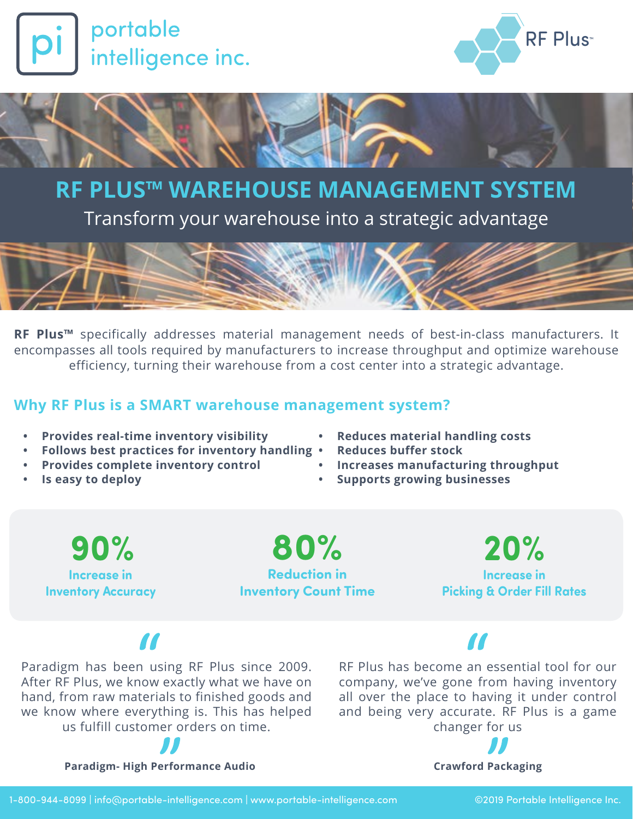



## **RF PLUS™ WAREHOUSE MANAGEMENT SYSTEM**

Transform your warehouse into a strategic advantage



**RF Plus™** specifically addresses material management needs of best-in-class manufacturers. It encompasses all tools required by manufacturers to increase throughput and optimize warehouse efficiency, turning their warehouse from a cost center into a strategic advantage.

### **Why RF Plus is a SMART warehouse management system?**

- **• Provides real-time inventory visibility**
- **• Follows best practices for inventory handling**
- **• Provides complete inventory control**
- **• Is easy to deploy**
- **• Reduces material handling costs**
- **• Reduces buffer stock**
- **• Increases manufacturing throughput**
- **• Supports growing businesses**

**90% Increase in Inventory Accuracy**

**80% Reduction in Inventory Count Time**

**20% Increase in Picking & Order Fill Rates**

# $\overline{\mathbf{M}}$

Paradigm has been using RF Plus since 2009. After RF Plus, we know exactly what we have on hand, from raw materials to finished goods and we know where everything is. This has helped us fulfill customer orders on time.



RF Plus has become an essential tool for our company, we've gone from having inventory all over the place to having it under control and being very accurate. RF Plus is a game